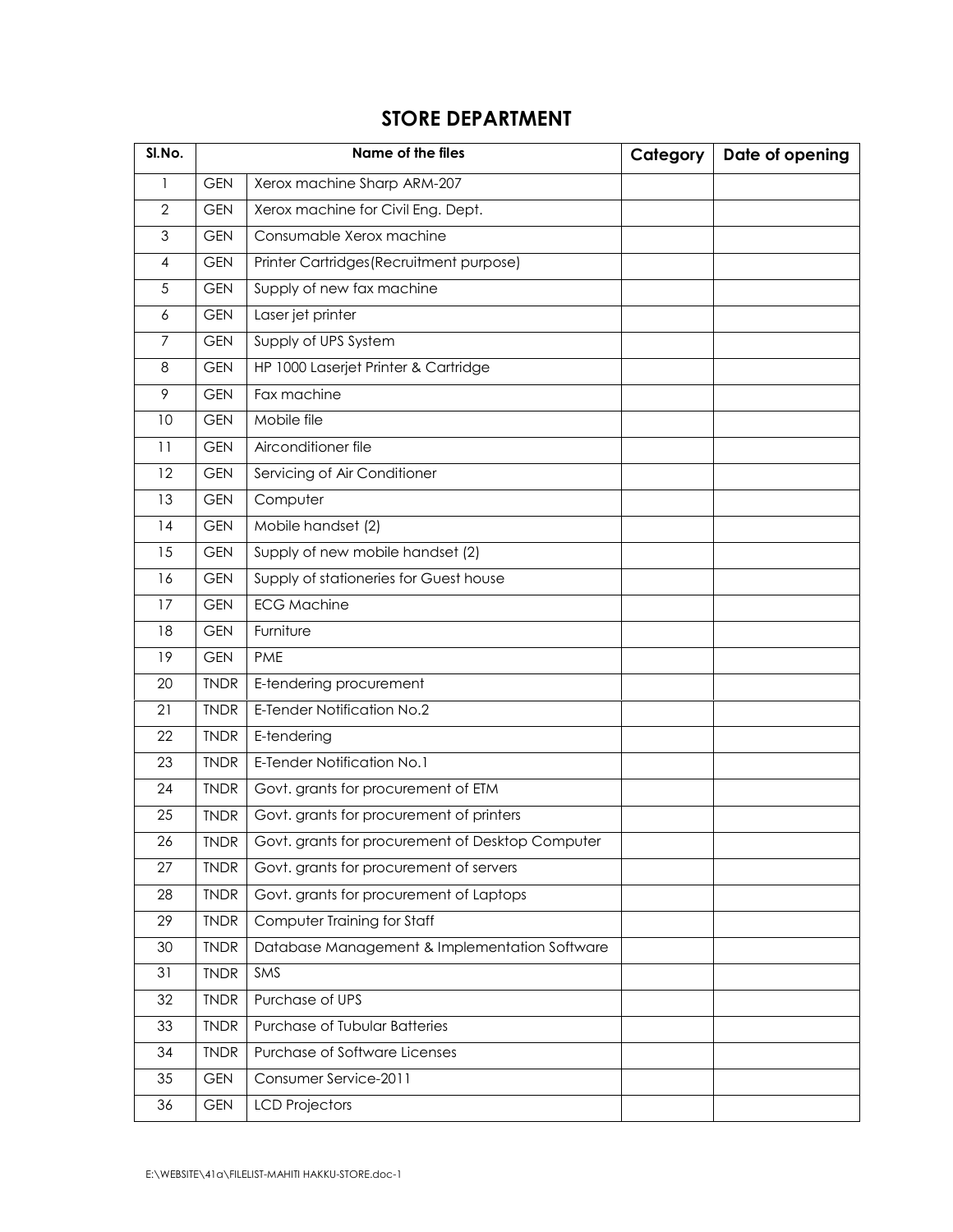## STORE DEPARTMENT

| SI.No.         |             | Name of the files                                | Category | Date of opening |
|----------------|-------------|--------------------------------------------------|----------|-----------------|
| 1              | <b>GEN</b>  | Xerox machine Sharp ARM-207                      |          |                 |
| $\mathbf{2}$   | <b>GEN</b>  | Xerox machine for Civil Eng. Dept.               |          |                 |
| 3              | <b>GEN</b>  | Consumable Xerox machine                         |          |                 |
| $\overline{4}$ | <b>GEN</b>  | Printer Cartridges (Recruitment purpose)         |          |                 |
| 5              | <b>GEN</b>  | Supply of new fax machine                        |          |                 |
| 6              | <b>GEN</b>  | Laser jet printer                                |          |                 |
| 7              | <b>GEN</b>  | Supply of UPS System                             |          |                 |
| 8              | <b>GEN</b>  | HP 1000 Laserjet Printer & Cartridge             |          |                 |
| 9              | <b>GEN</b>  | Fax machine                                      |          |                 |
| 10             | <b>GEN</b>  | Mobile file                                      |          |                 |
| 11             | <b>GEN</b>  | Airconditioner file                              |          |                 |
| 12             | <b>GEN</b>  | Servicing of Air Conditioner                     |          |                 |
| 13             | <b>GEN</b>  | Computer                                         |          |                 |
| 14             | <b>GEN</b>  | Mobile handset (2)                               |          |                 |
| 15             | <b>GEN</b>  | Supply of new mobile handset (2)                 |          |                 |
| 16             | <b>GEN</b>  | Supply of stationeries for Guest house           |          |                 |
| 17             | <b>GEN</b>  | <b>ECG Machine</b>                               |          |                 |
| 18             | <b>GEN</b>  | Furniture                                        |          |                 |
| 19             | <b>GEN</b>  | <b>PME</b>                                       |          |                 |
| 20             | <b>TNDR</b> | E-tendering procurement                          |          |                 |
| 21             | <b>TNDR</b> | E-Tender Notification No.2                       |          |                 |
| 22             | <b>TNDR</b> | E-tendering                                      |          |                 |
| 23             | <b>TNDR</b> | E-Tender Notification No.1                       |          |                 |
| 24             | <b>TNDR</b> | Govt. grants for procurement of ETM              |          |                 |
| 25             | <b>TNDR</b> | Govt. grants for procurement of printers         |          |                 |
| 26             | <b>TNDR</b> | Govt. grants for procurement of Desktop Computer |          |                 |
| 27             | <b>TNDR</b> | Govt. grants for procurement of servers          |          |                 |
| 28             | <b>TNDR</b> | Govt. grants for procurement of Laptops          |          |                 |
| 29             | <b>TNDR</b> | Computer Training for Staff                      |          |                 |
| 30             | <b>TNDR</b> | Database Management & Implementation Software    |          |                 |
| 31             | <b>TNDR</b> | SMS                                              |          |                 |
| 32             | <b>TNDR</b> | Purchase of UPS                                  |          |                 |
| 33             | <b>TNDR</b> | Purchase of Tubular Batteries                    |          |                 |
| 34             | <b>TNDR</b> | Purchase of Software Licenses                    |          |                 |
| 35             | <b>GEN</b>  | Consumer Service-2011                            |          |                 |
| 36             | <b>GEN</b>  | <b>LCD Projectors</b>                            |          |                 |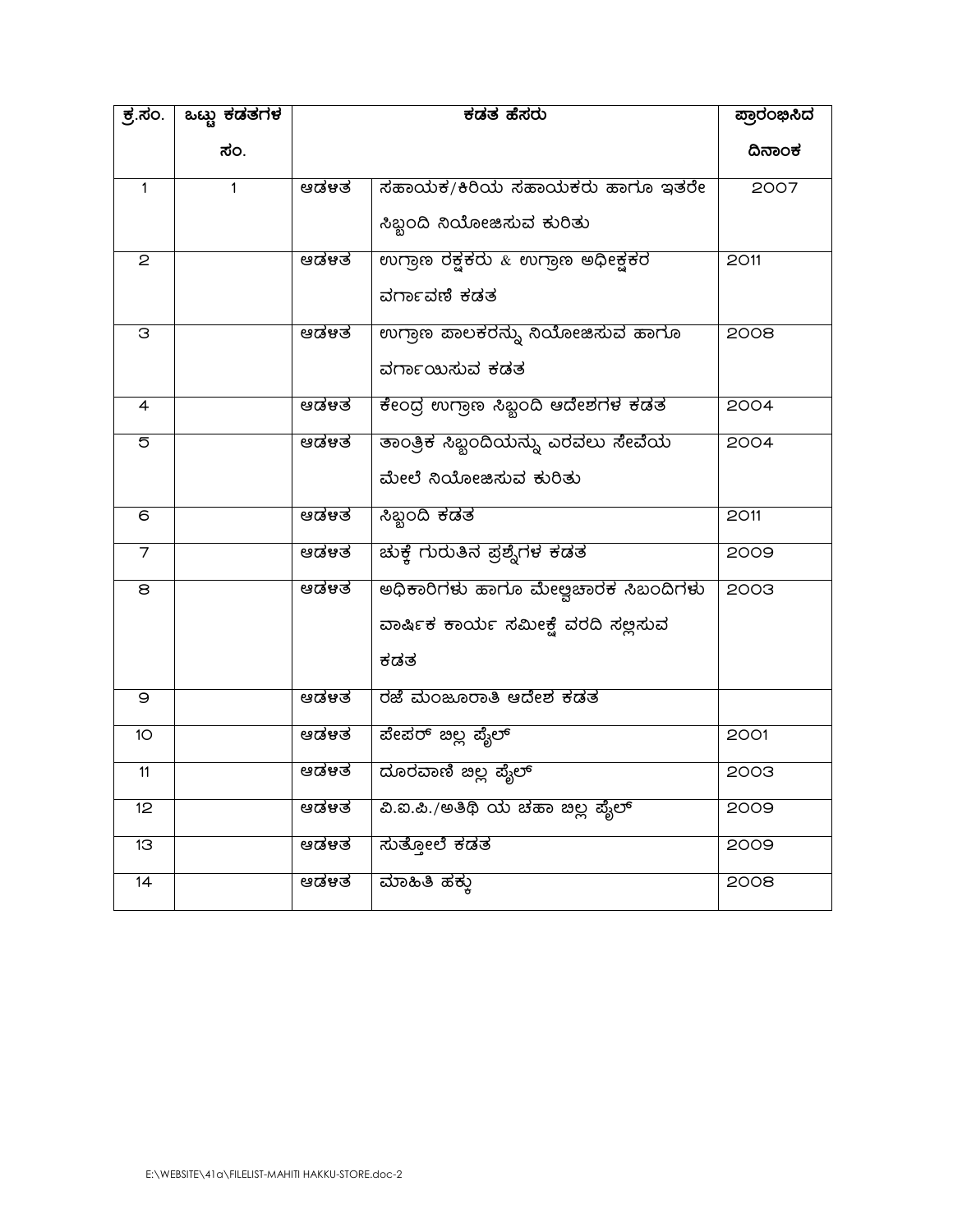| <u>ಕ್ರೆ.ಸಂ.</u> | <u>ಒಬ್ಬ ಕಡತಗಳ</u> | ಕಡತ ಹೆಸರು |                                     | ಪ್ರಾರಂಭಿಸಿದ |
|-----------------|-------------------|-----------|-------------------------------------|-------------|
|                 | ಸಂ.               |           |                                     | ದಿನಾಂಕ      |
| $\overline{1}$  | $\mathbf{1}$      | ಆಡಳತ      | ಸಹಾಯಕ/ಕಿರಿಯ ಸಹಾಯಕರು ಹಾಗೂ ಇತರೇ       | 2007        |
|                 |                   |           | ಸಿಬ್ಬಂದಿ ನಿಯೋಜಿಸುವ ಕುರಿತು           |             |
| 2               |                   | ಆಡಳತ      | ಉಗ್ರಾಣ ರಕ್ಷಕರು & ಉಗ್ರಾಣ ಅಧೀಕ್ಷಕರ    | 2011        |
|                 |                   |           | ವರ್ಗಾವಣಿ ಕಡತ                        |             |
| З               |                   | ಆಡಳತ      | ಉಗ್ರಾಣ ಪಾಲಕರನ್ನು ನಿಯೋಜಿಸುವ ಹಾಗೂ     | 2008        |
|                 |                   |           | ವರ್ಗಾಯಿಸುವ ಕಡತ                      |             |
| $\overline{4}$  |                   | ಆಡಳತ      | ಕೇಂದ್ರ ಉಗ್ರಾಣ ಸಿಬ್ಬಂದಿ ಆದೇಶಗಳ ಕಡತ   | 2004        |
| 5               |                   | ಆಡಳತ      | ತಾಂತ್ರಿಕ ಸಿಬ್ಬಂದಿಯನ್ನು ಎರವಲು ಸೇವೆಯ  | 2004        |
|                 |                   |           | ಮೇಲೆ ನಿಯೋಜಿಸುವ ಕುರಿತು               |             |
| $\overline{6}$  |                   | ಆಡಳತ      | ಸಿಬ್ಬಂದಿ ಕಡತ                        | 2011        |
|                 |                   | ಆಡಳತ      | <u>ಚುಕ್ತೆ ಗುರುತಿನ ಪ್ರಶ್ನೆಗಳ ಕಡತ</u> | 2009        |
| 8               |                   | ಆಡಳತ      | ಅಧಿಕಾರಿಗಳು ಹಾಗೂ ಮೇಲ್ವಚಾರಕ ಸಿಬಂದಿಗಳು | 2003        |
|                 |                   |           | ವಾರ್ಷಿಕ ಕಾರ್ಯ ಸಮೀಕ್ಷೆ ವರದಿ ಸಲ್ಲಿಸುವ |             |
|                 |                   |           | ಕಡತ                                 |             |
| $\Theta$        |                   | ಆಡಳಿತ     | ರಜೆ ಮಂಜೂರಾತಿ ಆದೇಶ ಕಡತ               |             |
| 10 <sup>°</sup> |                   | ಆಡಳತ      | ಪೇಪರ್ ಇಲ್ಲ ಪೈಲ್                     | 2001        |
| 11              |                   | ಆಡಳತ      | ದೂರವಾಣಿ ಇಲ್ಲ ಪೈಲ್                   | <b>2003</b> |
| 12              |                   | ಆಡಳತ      | ವಿ.ಐ.ಪಿ./ಅತಿಥಿ ಯ ಚಹಾ ಇಲ್ಲ ಪೈಲ್      | 2009        |
| 13              |                   | ಆಡಳತ      | ಸುತ್ತೋಲೆ ಕಡತ                        | 2009        |
| 14              |                   | ಆಡಳತ      | ಮಾಹಿತಿ ಹಕ್ಕು                        | 2008        |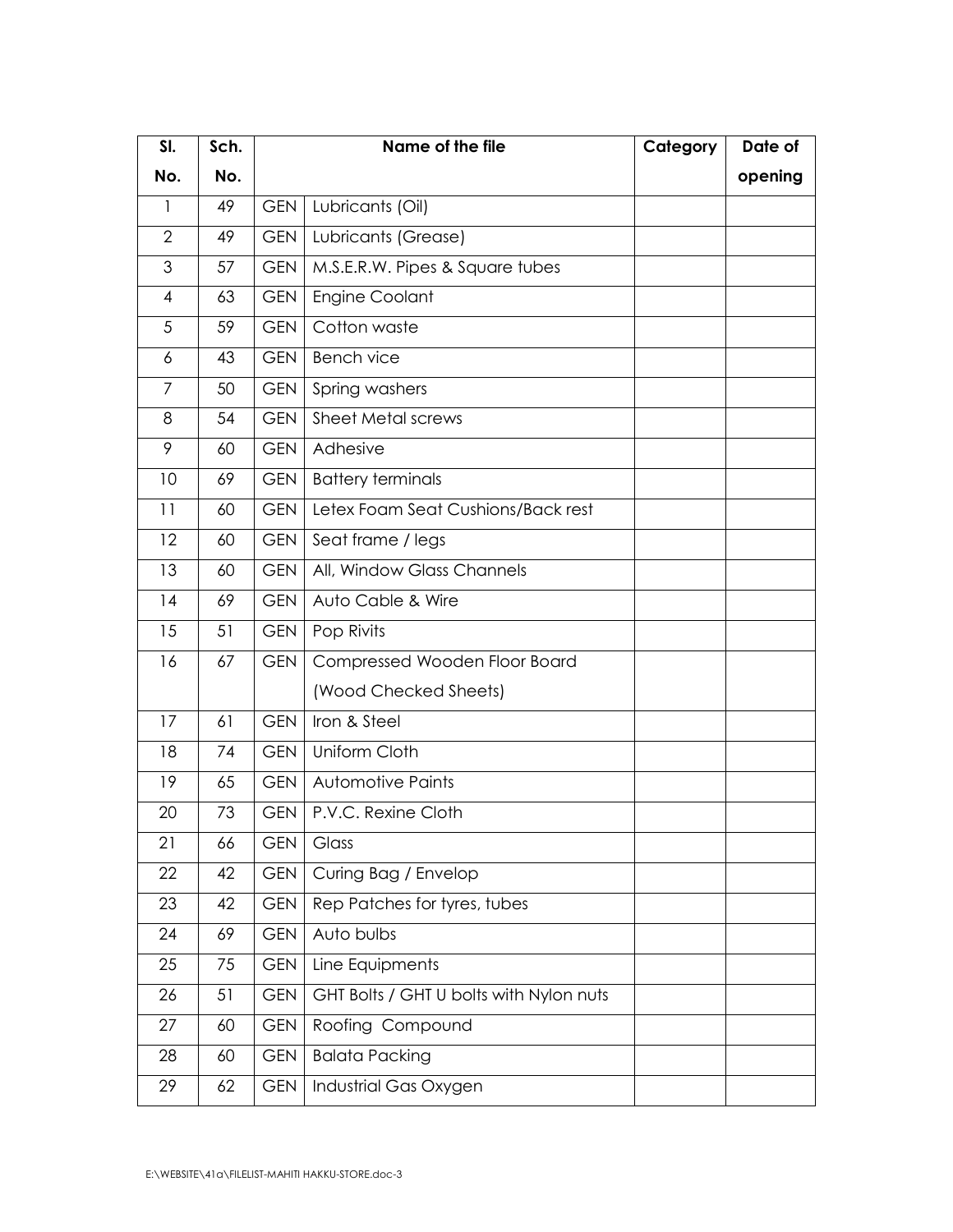| SI.            | Sch. |            | Name of the file                        |  | Date of |
|----------------|------|------------|-----------------------------------------|--|---------|
| No.            | No.  |            |                                         |  | opening |
| 1              | 49   | <b>GEN</b> | Lubricants (Oil)                        |  |         |
| $\overline{2}$ | 49   | <b>GEN</b> | Lubricants (Grease)                     |  |         |
| 3              | 57   | <b>GEN</b> | M.S.E.R.W. Pipes & Square tubes         |  |         |
| $\overline{4}$ | 63   | <b>GEN</b> | <b>Engine Coolant</b>                   |  |         |
| 5              | 59   | <b>GEN</b> | Cotton waste                            |  |         |
| 6              | 43   | <b>GEN</b> | <b>Bench vice</b>                       |  |         |
| $\overline{7}$ | 50   | <b>GEN</b> | Spring washers                          |  |         |
| 8              | 54   | <b>GEN</b> | Sheet Metal screws                      |  |         |
| 9              | 60   | <b>GEN</b> | Adhesive                                |  |         |
| 10             | 69   | <b>GEN</b> | <b>Battery terminals</b>                |  |         |
| 11             | 60   | <b>GEN</b> | Letex Foam Seat Cushions/Back rest      |  |         |
| 12             | 60   | <b>GEN</b> | Seat frame / legs                       |  |         |
| 13             | 60   | <b>GEN</b> | All, Window Glass Channels              |  |         |
| 14             | 69   | <b>GEN</b> | Auto Cable & Wire                       |  |         |
| 15             | 51   | <b>GEN</b> | Pop Rivits                              |  |         |
| 16             | 67   | <b>GEN</b> | Compressed Wooden Floor Board           |  |         |
|                |      |            | (Wood Checked Sheets)                   |  |         |
| 17             | 61   | <b>GEN</b> | Iron & Steel                            |  |         |
| 18             | 74   | <b>GEN</b> | Uniform Cloth                           |  |         |
| 19             | 65   | <b>GEN</b> | Automotive Paints                       |  |         |
| 20             | 73   | <b>GEN</b> | P.V.C. Rexine Cloth                     |  |         |
| 21             | 66   | <b>GEN</b> | Glass                                   |  |         |
| 22             | 42   | <b>GEN</b> | Curing Bag / Envelop                    |  |         |
| 23             | 42   | <b>GEN</b> | Rep Patches for tyres, tubes            |  |         |
| 24             | 69   | <b>GEN</b> | Auto bulbs                              |  |         |
| 25             | 75   | <b>GEN</b> | Line Equipments                         |  |         |
| 26             | 51   | <b>GEN</b> | GHT Bolts / GHT U bolts with Nylon nuts |  |         |
| 27             | 60   | <b>GEN</b> | Roofing Compound                        |  |         |
| 28             | 60   | <b>GEN</b> | <b>Balata Packing</b>                   |  |         |
| 29             | 62   | <b>GEN</b> | Industrial Gas Oxygen                   |  |         |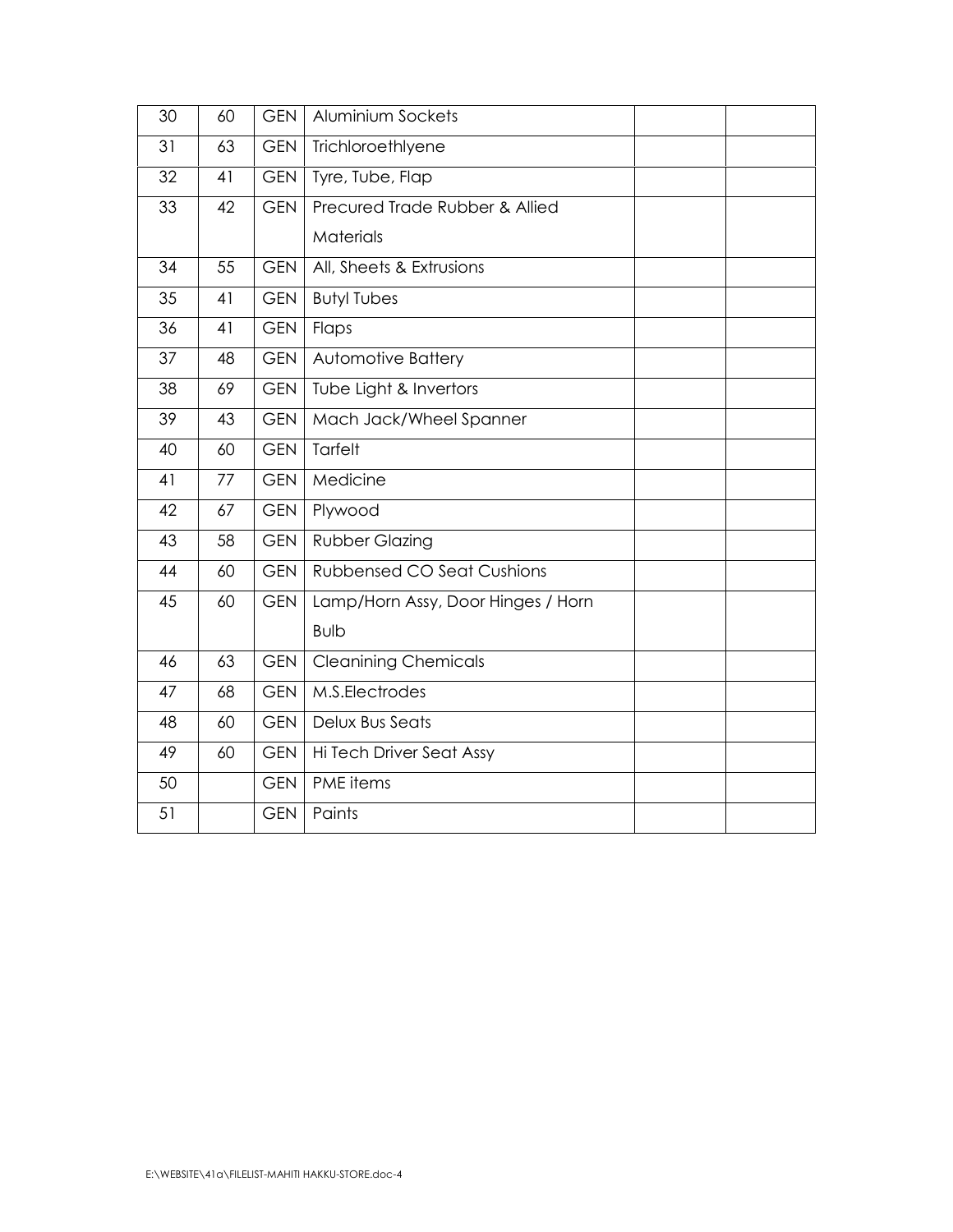| 30 | 60 | <b>GEN</b> | Aluminium Sockets                  |  |  |  |  |
|----|----|------------|------------------------------------|--|--|--|--|
| 31 | 63 | <b>GEN</b> | Trichloroethlyene                  |  |  |  |  |
| 32 | 41 | <b>GEN</b> | Tyre, Tube, Flap                   |  |  |  |  |
| 33 | 42 | <b>GEN</b> | Precured Trade Rubber & Allied     |  |  |  |  |
|    |    |            | Materials                          |  |  |  |  |
| 34 | 55 | <b>GEN</b> | All, Sheets & Extrusions           |  |  |  |  |
| 35 | 41 | <b>GEN</b> | <b>Butyl Tubes</b>                 |  |  |  |  |
| 36 | 41 | <b>GEN</b> | Flaps                              |  |  |  |  |
| 37 | 48 | <b>GEN</b> | Automotive Battery                 |  |  |  |  |
| 38 | 69 | <b>GEN</b> | Tube Light & Invertors             |  |  |  |  |
| 39 | 43 | <b>GEN</b> | Mach Jack/Wheel Spanner            |  |  |  |  |
| 40 | 60 | <b>GEN</b> | Tarfelt                            |  |  |  |  |
| 41 | 77 | <b>GEN</b> | Medicine                           |  |  |  |  |
| 42 | 67 | <b>GEN</b> | Plywood                            |  |  |  |  |
| 43 | 58 | <b>GEN</b> | <b>Rubber Glazing</b>              |  |  |  |  |
| 44 | 60 | <b>GEN</b> | <b>Rubbensed CO Seat Cushions</b>  |  |  |  |  |
| 45 | 60 | <b>GEN</b> | Lamp/Horn Assy, Door Hinges / Horn |  |  |  |  |
|    |    |            | <b>Bulb</b>                        |  |  |  |  |
| 46 | 63 | <b>GEN</b> | <b>Cleanining Chemicals</b>        |  |  |  |  |
| 47 | 68 | <b>GEN</b> | M.S.Electrodes                     |  |  |  |  |
| 48 | 60 | <b>GEN</b> | Delux Bus Seats                    |  |  |  |  |
| 49 | 60 | <b>GEN</b> | Hi Tech Driver Seat Assy           |  |  |  |  |
| 50 |    | <b>GEN</b> | PME items                          |  |  |  |  |
| 51 |    | <b>GEN</b> | Paints                             |  |  |  |  |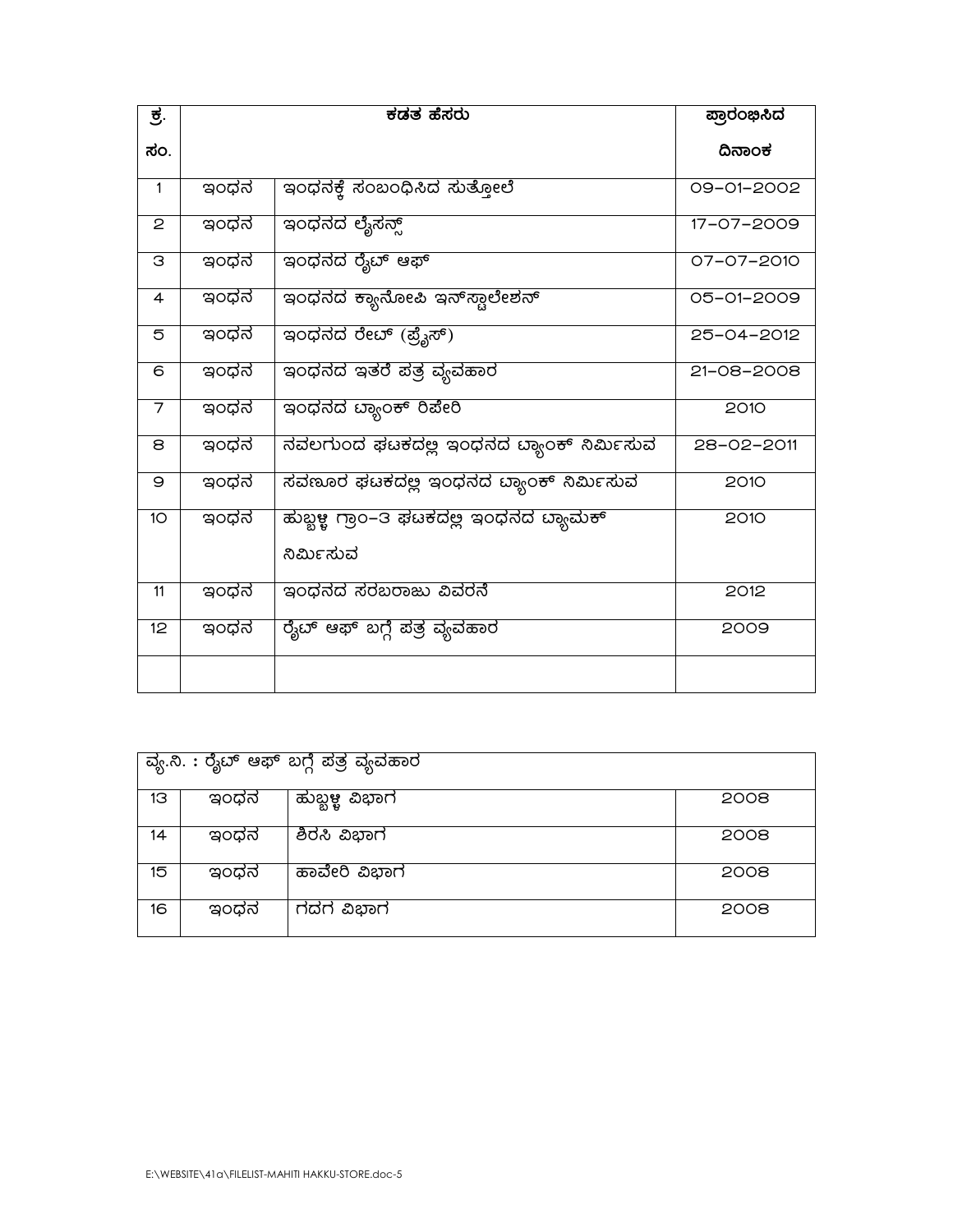|    | ವ್ಯ.ನಿ. : ರೈಬ್ ಆಫ್ ಬಗ್ಗೆ ಪತ್ರ ವ್ಯವಹಾರ |                |      |  |  |  |
|----|---------------------------------------|----------------|------|--|--|--|
| 13 | ಇಂಧನ                                  | ಹುಬ್ಬಳ್ಳ ವಿಭಾಗ | 2008 |  |  |  |
| 14 | ಇಂಧನ                                  | ಶಿರಸಿ ವಿಭಾಗ    | 2008 |  |  |  |
| 15 | ಇಂಧನ                                  | ಹಾವೇರಿ ವಿಭಾಗ   | 2008 |  |  |  |
| 16 | ಇಂಧನ                                  | ಗದಗ ವಿಭಾಗ      | 2008 |  |  |  |

| ಕ.              |      | $\overline{\texttt{t}}$ ಡತ ಹೆಸರು                      | ಪ್ರಾರಂಭಿಸಿದ |
|-----------------|------|-------------------------------------------------------|-------------|
| ಸಂ.             |      |                                                       | ದಿನಾಂಕ      |
| $\mathbf{1}$    | ಇಂಧನ | ಇಂಧನಕ್ಕೆ ಸಂಬಂಧಿಸಿದ ಸುತ್ತೋಲೆ                           | 09-01-2002  |
| 2               | ಇಂಧನ | ಇಂಧನದ ಲೈಸನ್ಸ್                                         | 17-07-2009  |
| З               | ಇಂಧನ | ಇಂಧನದ ರೈಬ್ ಆಫ್                                        | 07-07-2010  |
| 4               | ಇಂಧನ | ಇಂಧನದ ಕ್ಯಾನೋಪಿ ಇನ್ಸ್ಪಾಲೇಶನ್                           | 05-01-2009  |
| 5               | ಇಂಧನ | ಇಂಧನದ ರೇಬ್ (ಪ್ರೈಸ್)                                   | 25-04-2012  |
| 6               | ಇಂಧನ | ಇಂಧನದ ಇತರೆ ಪತ್ರ ವ್ಯವಹಾರ                               | 21-08-2008  |
| 7               | ಇಂಧನ | ಇಂಧನದ ಬ್ಯಾಂಕ್ ರಿಪೇರಿ                                  | 2010        |
| 8               | ಇಂಧನ | ನವಲಗುಂದ ಘಟಕದಲ್ಲ ಇಂಧನದ ಬ್ಯಾಂಕ್ ನಿರ್ಮಿಸುವ               | 28-02-2011  |
| 9               | ಇಂಧನ | ಸವಣೂರ ಘಟಕದಲ್ಲ ಇಂಧನದ ಬ್ಯಾಂಕ್ ನಿರ್ಮಿಸುವ                 | 2010        |
| 10 <sup>°</sup> | ಇಂಧನ | ಹುಬ್ಬಳ್ಳ ಗ್ರಾಂ–3 ಫೆಟಕದಲ್ಲಿ ಇಂಧನದ ದ್ಯಾಮಕ್<br>ನಿರ್ಮಿಸುವ | 2010        |
| 11              | ಇಂಧನ | ಇಂಧನದ ಸರಬರಾಜು ವಿವರನೆ                                  | 2012        |
| 12 <sup>°</sup> | ಇಂಧನ | ರೈಟ್ ಆಫ್ ಬಗ್ಗೆ ಪತ್ರ ವ್ಯವಹಾರ                           | 2009        |
|                 |      |                                                       |             |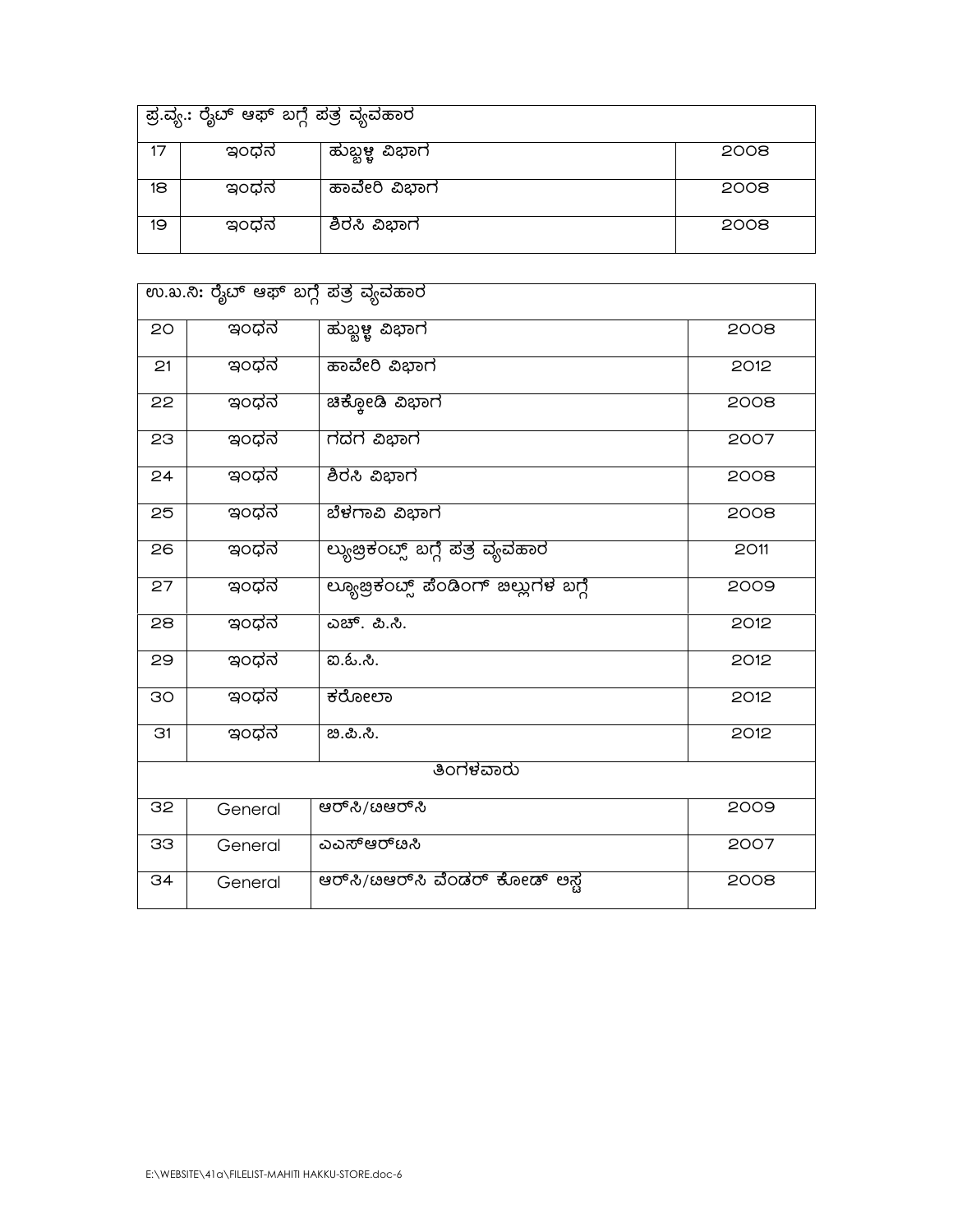|    | ಪ್ರ.ವ್ಯ.: ರೈಬ್ ಆಫ್ ಬಗ್ಗೆ ಪತ್ರ ವ್ಯವಹಾರ |                |      |  |  |
|----|---------------------------------------|----------------|------|--|--|
| 17 | ಇಂಧನ                                  | ಹುಬ್ಬಳ್ಳ ವಿಭಾಗ | 2008 |  |  |
| 18 | ಇಂಧನ                                  | ಹಾವೇರಿ ವಿಭಾಗ   | 2008 |  |  |
| 19 | ಇಂಧನ                                  | ಶಿರಸಿ ವಿಭಾಗ    | 2008 |  |  |

| ಉ.ಖ.ನಿ: ರೈಬ್ ಆಫ್ ಬಗ್ಗೆ ಪತ್ರ ವ್ಯವಹಾರ |           |                                        |      |  |  |  |
|-------------------------------------|-----------|----------------------------------------|------|--|--|--|
| 20                                  | ಇಂಧನ      | ಹುಬ್ಬಳ್ಳ ವಿಭಾಗ                         | 2008 |  |  |  |
| 21                                  | ಇಂಧನ      | ಹಾವೇರಿ ವಿಭಾಗ                           | 2012 |  |  |  |
| 22                                  | ಇಂಧನ      | ಚಿಕ್ಕೋಡಿ ವಿಭಾಗ                         | 2008 |  |  |  |
| 23                                  | ಇಂಧನ      | ಗದಗ ವಿಭಾಗ                              | 2007 |  |  |  |
| 24                                  | ಇಂಧನ      | ಶಿರಸಿ ವಿಭಾಗ                            | 2008 |  |  |  |
| 25                                  | ಇಂಧನ      | ಬೆಳಗಾವಿ ವಿಭಾಗ                          | 2008 |  |  |  |
| 26                                  | ಇಂಧನ      | ಲ್ಯುಜ್ರಿಕಂದ್ಸ್ ಬಗ್ಗೆ ಪತ್ರ ವ್ಯವಹಾರ      | 2011 |  |  |  |
| 27                                  | ಇಂಧನ      | ಲ್ಯೂಜ್ರಿಕಂಟ್ಸ್ ಪೆಂಡಿಂಗ್ ಜಿಲ್ಲುಗಳ ಬಗ್ಗೆ | 2009 |  |  |  |
| 28                                  | ಇಂಧನ      | ಎಚ್. ಪಿ.ಸಿ.                            | 2012 |  |  |  |
| 29                                  | ಇಂಧನ      | <u>ఐ.ఓ.సి.</u>                         | 2012 |  |  |  |
| 30                                  | ಇಂಧನ      | ಕರೋಲಾ                                  | 2012 |  |  |  |
| 31                                  | ಇಂಧನ      | ಬಿ.ಪಿ.ಸಿ.                              | 2012 |  |  |  |
|                                     | ತಿಂಗಳವಾರು |                                        |      |  |  |  |
| 32                                  | General   | ಆರ್ಸಿ/ೞಆರ್ಸಿ                           | 2009 |  |  |  |
| 33                                  | General   | ಎಎಸ್ಆರ್ೞಸಿ                             | 2007 |  |  |  |
| 34                                  | General   | ಆರ್ಸಿ/ೞಆರ್ಸಿ ವೆಂಡರ್ ಕೋಡ್ ಅಸ್ವ          | 2008 |  |  |  |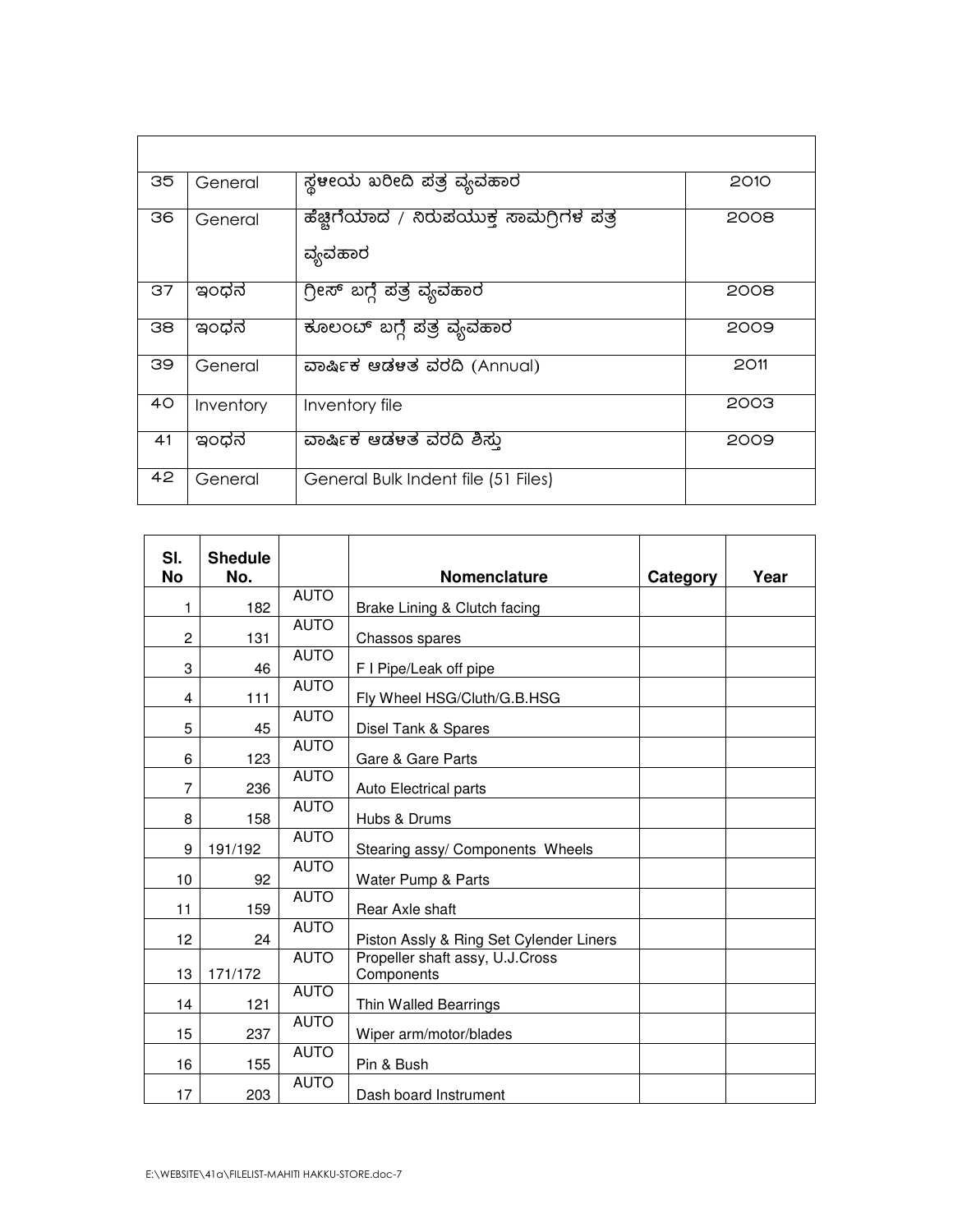| 35 | General   | ಸ್ಥಳೀಯ ಖರೀದಿ ಪತ್ರ ವ್ಯವಹಾರ                          | 2010 |
|----|-----------|----------------------------------------------------|------|
| 36 | General   | ಹೆಚ್ಚಿಗೆಯಾದ / ನಿರುಪಯುಕ್ತ ಸಾಮಗ್ಗಿಗಳ ಪತ್ರ<br>ವ್ಯವಹಾರ | 2008 |
| 37 | ಇಂಧನ      | <u>ಗ್ರೀಸ್ ಬಗ್ಗೆ ಪತ್ರ</u> ವ್ಯವಹಾರ                   | 2008 |
| 38 | ಇಂಧನ      | ಕೂಲಂಬ್ ಬಗ್ಗೆ ಪತ್ರ ವ್ಯವಹಾರ                          | 2009 |
| 39 | General   | ವಾರ್ಷಿಕ ಆಡಳತ ವರದಿ (Annual)                         | 2011 |
| 40 | Inventory | Inventory file                                     | 2003 |
| 41 | ಇಂಧನ      | ವಾರ್ಷಿಕ ಆಡಳತ ವರದಿ ಶಿಸ್ತು                           | 2009 |
| 42 | General   | General Bulk Indent file (51 Files)                |      |

| SI.<br><b>No</b> | <b>Shedule</b><br>No. |             | Nomenclature                                  | Category | Year |
|------------------|-----------------------|-------------|-----------------------------------------------|----------|------|
| 1                | 182                   | <b>AUTO</b> | Brake Lining & Clutch facing                  |          |      |
| $\overline{c}$   | 131                   | <b>AUTO</b> | Chassos spares                                |          |      |
| 3                | 46                    | <b>AUTO</b> | F I Pipe/Leak off pipe                        |          |      |
| 4                | 111                   | <b>AUTO</b> | Fly Wheel HSG/Cluth/G.B.HSG                   |          |      |
| 5                | 45                    | <b>AUTO</b> | Disel Tank & Spares                           |          |      |
| 6                | 123                   | <b>AUTO</b> | Gare & Gare Parts                             |          |      |
| 7                | 236                   | <b>AUTO</b> | Auto Electrical parts                         |          |      |
| 8                | 158                   | <b>AUTO</b> | Hubs & Drums                                  |          |      |
| 9                | 191/192               | <b>AUTO</b> | Stearing assy/ Components Wheels              |          |      |
| 10               | 92                    | <b>AUTO</b> | Water Pump & Parts                            |          |      |
| 11               | 159                   | <b>AUTO</b> | Rear Axle shaft                               |          |      |
| 12               | 24                    | <b>AUTO</b> | Piston Assly & Ring Set Cylender Liners       |          |      |
| 13               | 171/172               | <b>AUTO</b> | Propeller shaft assy, U.J.Cross<br>Components |          |      |
| 14               | 121                   | <b>AUTO</b> | Thin Walled Bearrings                         |          |      |
| 15               | 237                   | <b>AUTO</b> | Wiper arm/motor/blades                        |          |      |
| 16               | 155                   | <b>AUTO</b> | Pin & Bush                                    |          |      |
| 17               | 203                   | <b>AUTO</b> | Dash board Instrument                         |          |      |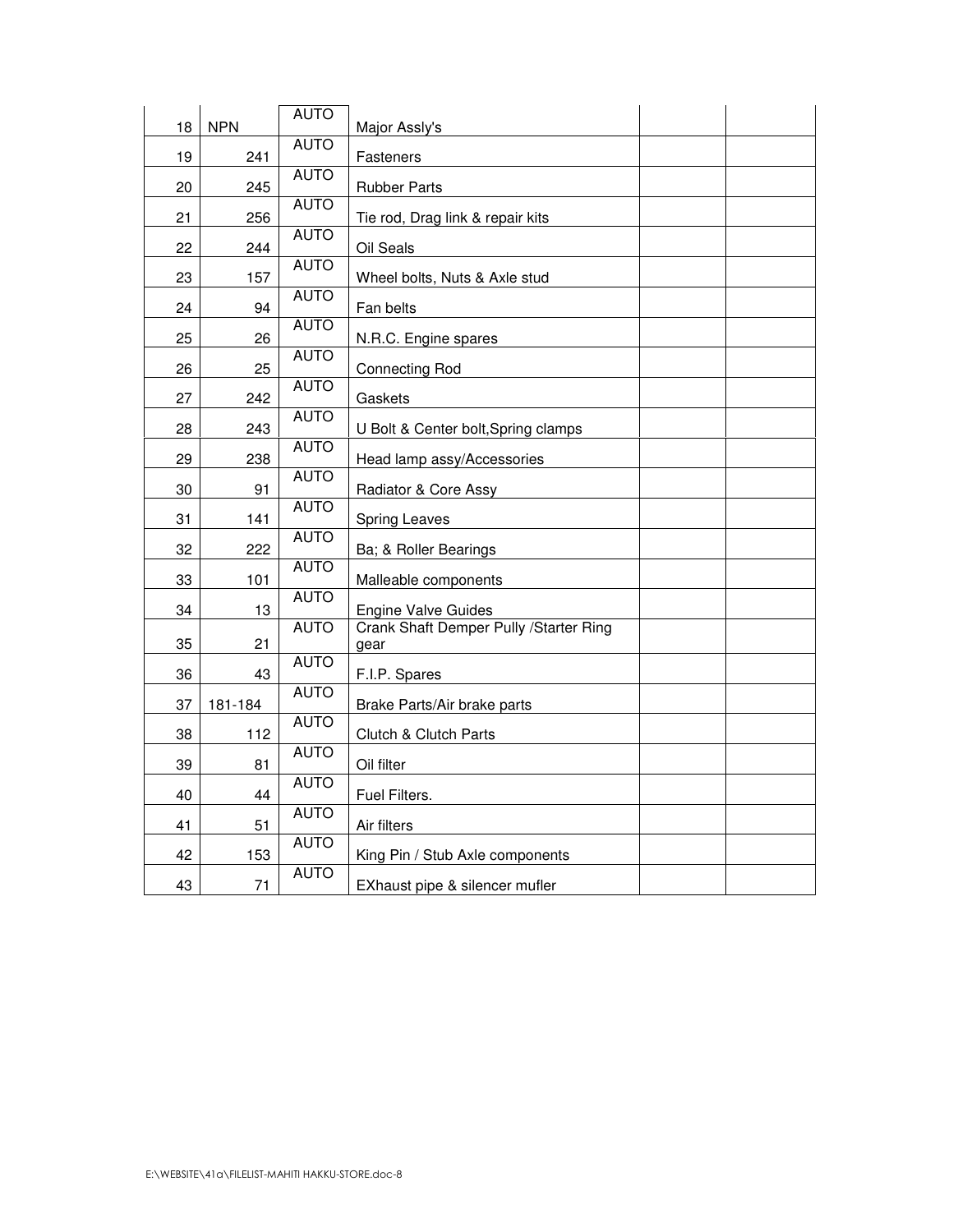| 18 | <b>NPN</b> | <b>AUTO</b> | Major Assly's                                  |  |
|----|------------|-------------|------------------------------------------------|--|
| 19 | 241        | <b>AUTO</b> | <b>Fasteners</b>                               |  |
| 20 | 245        | <b>AUTO</b> | <b>Rubber Parts</b>                            |  |
| 21 | 256        | <b>AUTO</b> | Tie rod, Drag link & repair kits               |  |
| 22 | 244        | <b>AUTO</b> | Oil Seals                                      |  |
| 23 | 157        | <b>AUTO</b> | Wheel bolts, Nuts & Axle stud                  |  |
| 24 | 94         | <b>AUTO</b> | Fan belts                                      |  |
| 25 | 26         | <b>AUTO</b> | N.R.C. Engine spares                           |  |
| 26 | 25         | <b>AUTO</b> | <b>Connecting Rod</b>                          |  |
| 27 | 242        | <b>AUTO</b> | Gaskets                                        |  |
| 28 | 243        | <b>AUTO</b> | U Bolt & Center bolt, Spring clamps            |  |
| 29 | 238        | <b>AUTO</b> | Head lamp assy/Accessories                     |  |
| 30 | 91         | <b>AUTO</b> | Radiator & Core Assy                           |  |
| 31 | 141        | <b>AUTO</b> | <b>Spring Leaves</b>                           |  |
| 32 | 222        | <b>AUTO</b> | Ba; & Roller Bearings                          |  |
| 33 | 101        | <b>AUTO</b> | Malleable components                           |  |
| 34 | 13         | <b>AUTO</b> | <b>Engine Valve Guides</b>                     |  |
| 35 | 21         | <b>AUTO</b> | Crank Shaft Demper Pully /Starter Ring<br>gear |  |
| 36 | 43         | <b>AUTO</b> | F.I.P. Spares                                  |  |
| 37 | 181-184    | <b>AUTO</b> | Brake Parts/Air brake parts                    |  |
| 38 | 112        | <b>AUTO</b> | Clutch & Clutch Parts                          |  |
| 39 | 81         | <b>AUTO</b> | Oil filter                                     |  |
| 40 | 44         | <b>AUTO</b> | Fuel Filters.                                  |  |
| 41 | 51         | <b>AUTO</b> | Air filters                                    |  |
| 42 | 153        | <b>AUTO</b> | King Pin / Stub Axle components                |  |
| 43 | 71         | <b>AUTO</b> | EXhaust pipe & silencer mufler                 |  |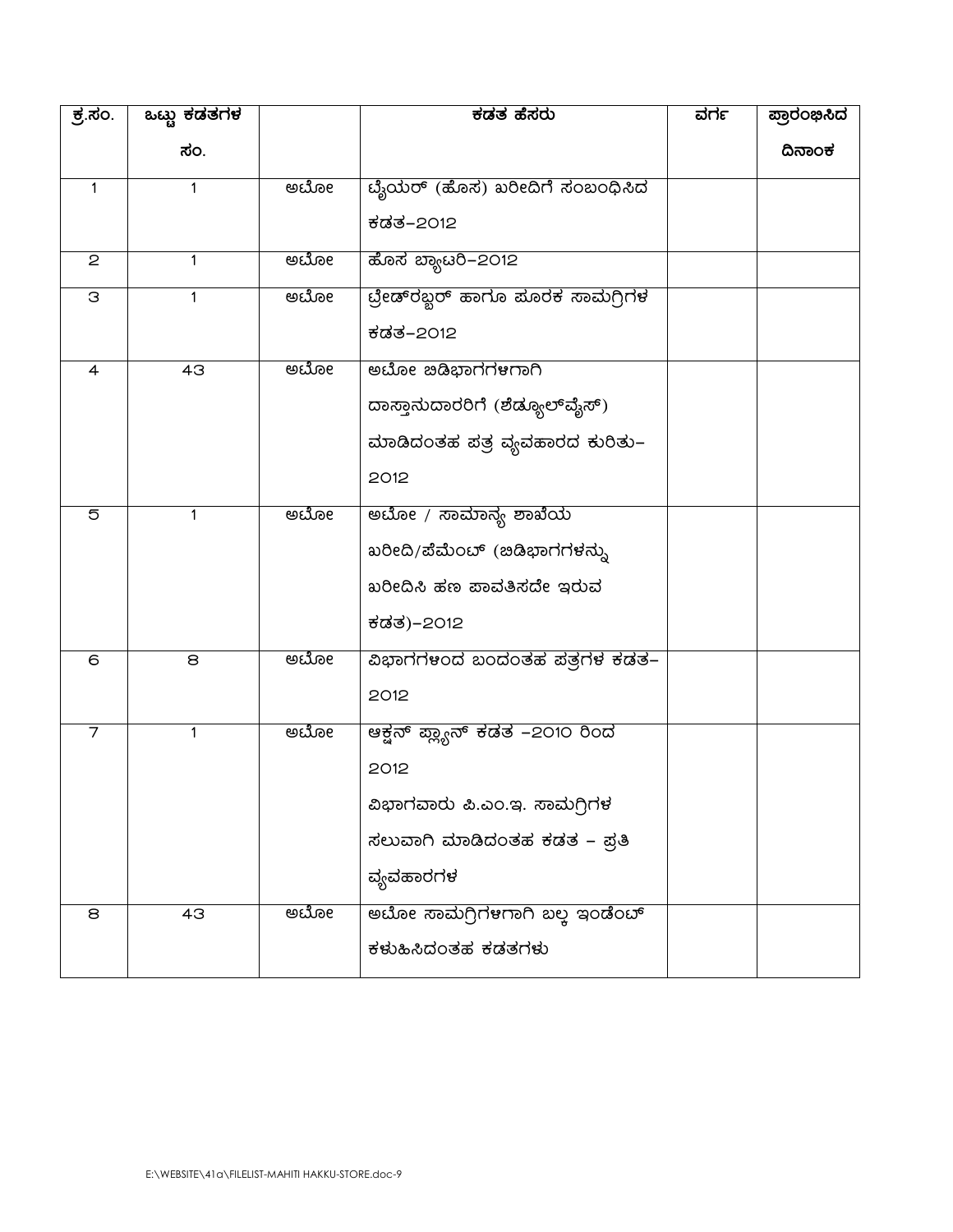| <u>ಕ್ರೆ.ಸಂ.</u> | ಒಟ್ಟು <del>ಕಡತಗಳ</del> |     | ಕಡತ ಹೆಸರು                      | ವರ್ಗ | ಪ್ರಾರಂಭಿಸಿದ |
|-----------------|------------------------|-----|--------------------------------|------|-------------|
|                 | ಸಂ.                    |     |                                |      | ದಿನಾಂಕ      |
| $\mathbf{1}$    | 1                      | ಅಬೋ | ಬೈಯರ್ (ಹೊಸ) ಖರೀದಿಗೆ ಸಂಬಂಧಿಸಿದ  |      |             |
|                 |                        |     | ಕಡತ–2012                       |      |             |
| $\mathbf{2}$    | 1                      | ಅಬೋ | ಹೊಸ ಬ್ಯಾಟರಿ–2012               |      |             |
| З               | 1                      | ಅಬೋ |                                |      |             |
|                 |                        |     | ಕಡತ–2012                       |      |             |
| $\overline{a}$  | 43                     | ಅಬೋ | ಅಬೋ ಇಡಿಭಾಗಗಳಗಾಗಿ               |      |             |
|                 |                        |     | ದಾಸ್ತಾನುದಾರರಿಗೆ (ಶೆಡ್ಯೂಲ್ವೈಸ್) |      |             |
|                 |                        |     | ಮಾಡಿದಂತಹ ಪತ್ರ ವ್ಯವಹಾರದ ಕುರಿತು– |      |             |
|                 |                        |     | 2012                           |      |             |
| $\overline{5}$  | 1                      | ಅಬೋ | ಅಬೋ / ಸಾಮಾನ್ಯ ಶಾಖೆಯ            |      |             |
|                 |                        |     | ಖರೀದಿ/ಪೆಮೆಂಬ್ (ಜಿಡಿಭಾಗಗಳನ್ನು   |      |             |
|                 |                        |     | ಖರೀದಿಸಿ ಹಣ ಪಾವತಿಸದೇ ಇರುವ       |      |             |
|                 |                        |     | ಕಡತ)–2012                      |      |             |
| 6               | 8                      | ಅಬೋ | ವಿಭಾಗಗಳಂದ ಬಂದಂತಹ ಪತ್ರಗಳ ಕಡತ–   |      |             |
|                 |                        |     | 2012                           |      |             |
| 7               | 1                      | ಅಬೋ | ಆಕ್ಷನ್ ಪ್ಲ್ಯಾನ್ ಕಡತ −2೦1೦ ರಿಂದ |      |             |
|                 |                        |     | 2012                           |      |             |
|                 |                        |     | ವಿಭಾಗವಾರು ಪಿ.ಎಂ.ಇ. ಸಾಮಗ್ಗಿಗಳ   |      |             |
|                 |                        |     | ಸಲುವಾಗಿ ಮಾಡಿದಂತಹ ಕಡತ – ಪ್ರತಿ   |      |             |
|                 |                        |     | ವ್ಯವಹಾರಗಳ                      |      |             |
| 8               | 43                     | ಅಬೋ | ಅಬೋ ಸಾಮಗ್ರಿಗಳಗಾಗಿ ಬಲ್ಲ ಇಂಡೆಂಬ್ |      |             |
|                 |                        |     | ಕಳುಹಿಸಿದಂತಹ ಕಡತಗಳು             |      |             |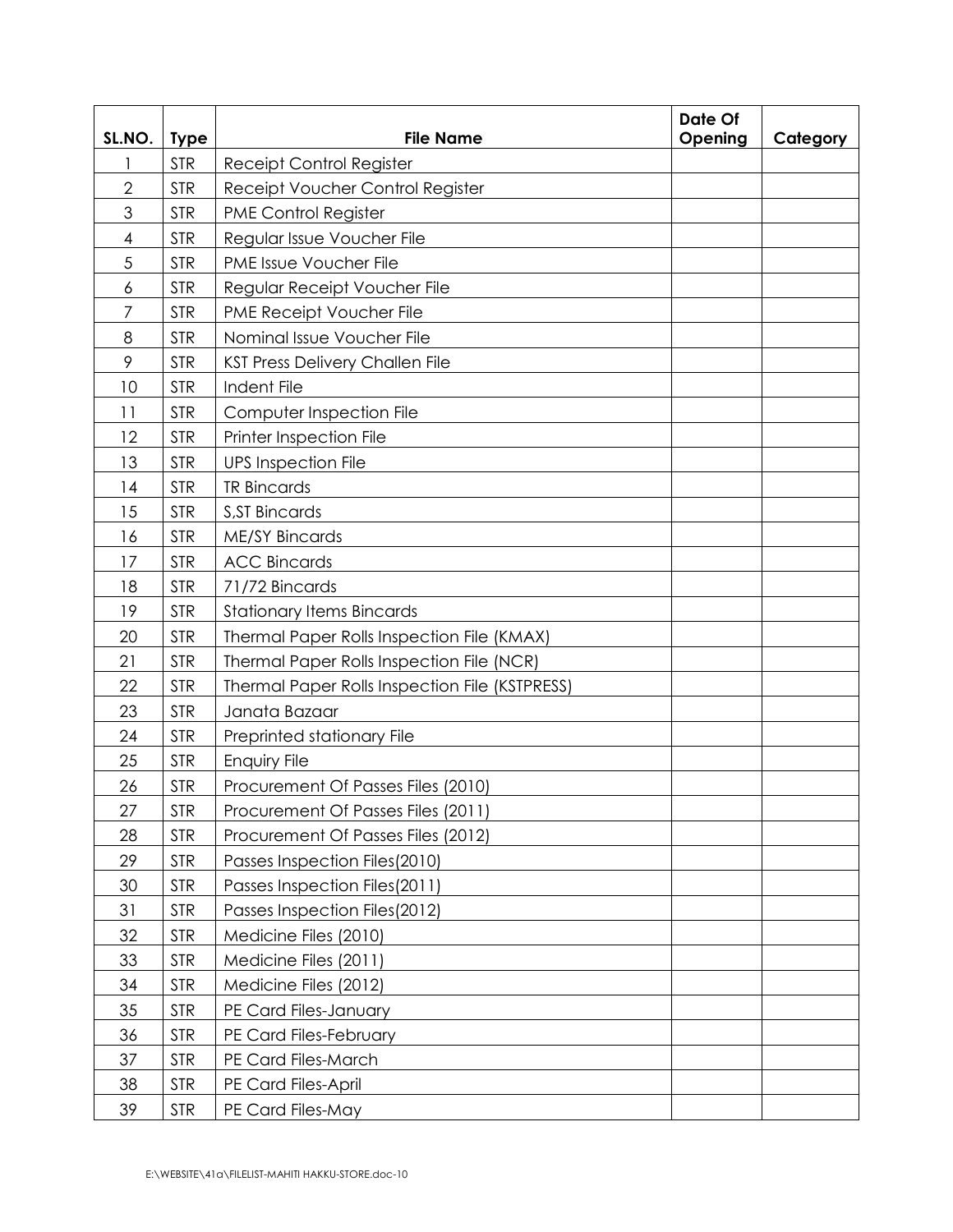| SL.NO.         | <b>Type</b> | <b>File Name</b>                               | Date Of<br>Opening | Category |  |
|----------------|-------------|------------------------------------------------|--------------------|----------|--|
| 1              | <b>STR</b>  | <b>Receipt Control Register</b>                |                    |          |  |
| $\overline{2}$ | <b>STR</b>  | Receipt Voucher Control Register               |                    |          |  |
| 3              | <b>STR</b>  | <b>PME Control Register</b>                    |                    |          |  |
| 4              | <b>STR</b>  | Regular Issue Voucher File                     |                    |          |  |
| 5              | <b>STR</b>  | PME Issue Voucher File                         |                    |          |  |
| 6              | <b>STR</b>  | Regular Receipt Voucher File                   |                    |          |  |
| 7              | <b>STR</b>  | PME Receipt Voucher File                       |                    |          |  |
| 8              | <b>STR</b>  | Nominal Issue Voucher File                     |                    |          |  |
| 9              | <b>STR</b>  | <b>KST Press Delivery Challen File</b>         |                    |          |  |
| 10             | <b>STR</b>  | Indent File                                    |                    |          |  |
| 11             | <b>STR</b>  | Computer Inspection File                       |                    |          |  |
| 12             | <b>STR</b>  | <b>Printer Inspection File</b>                 |                    |          |  |
| 13             | <b>STR</b>  | <b>UPS Inspection File</b>                     |                    |          |  |
| 14             | <b>STR</b>  | <b>TR Bincards</b>                             |                    |          |  |
| 15             | <b>STR</b>  | <b>S, ST Bincards</b>                          |                    |          |  |
| 16             | <b>STR</b>  | <b>ME/SY Bincards</b>                          |                    |          |  |
| 17             | <b>STR</b>  | <b>ACC Bincards</b>                            |                    |          |  |
| 18             | <b>STR</b>  | 71/72 Bincards                                 |                    |          |  |
| 19             | <b>STR</b>  | <b>Stationary Items Bincards</b>               |                    |          |  |
| 20             | <b>STR</b>  | Thermal Paper Rolls Inspection File (KMAX)     |                    |          |  |
| 21             | <b>STR</b>  | Thermal Paper Rolls Inspection File (NCR)      |                    |          |  |
| 22             | <b>STR</b>  | Thermal Paper Rolls Inspection File (KSTPRESS) |                    |          |  |
| 23             | <b>STR</b>  | Janata Bazaar                                  |                    |          |  |
| 24             | <b>STR</b>  | Preprinted stationary File                     |                    |          |  |
| 25             | <b>STR</b>  | Enquiry File                                   |                    |          |  |
| 26             | <b>STR</b>  | Procurement Of Passes Files (2010)             |                    |          |  |
| 27             | <b>STR</b>  | Procurement Of Passes Files (2011)             |                    |          |  |
| 28             | <b>STR</b>  | Procurement Of Passes Files (2012)             |                    |          |  |
| 29             | <b>STR</b>  | Passes Inspection Files (2010)                 |                    |          |  |
| 30             | <b>STR</b>  | Passes Inspection Files(2011)                  |                    |          |  |
| 31             | <b>STR</b>  | Passes Inspection Files (2012)                 |                    |          |  |
| 32             | <b>STR</b>  | Medicine Files (2010)                          |                    |          |  |
| 33             | <b>STR</b>  | Medicine Files (2011)                          |                    |          |  |
| 34             | <b>STR</b>  | Medicine Files (2012)                          |                    |          |  |
| 35             | <b>STR</b>  | PE Card Files-January                          |                    |          |  |
| 36             | <b>STR</b>  | PE Card Files-February                         |                    |          |  |
| 37             | <b>STR</b>  | PE Card Files-March                            |                    |          |  |
| 38             | <b>STR</b>  | PE Card Files-April                            |                    |          |  |
| 39             | <b>STR</b>  | PE Card Files-May                              |                    |          |  |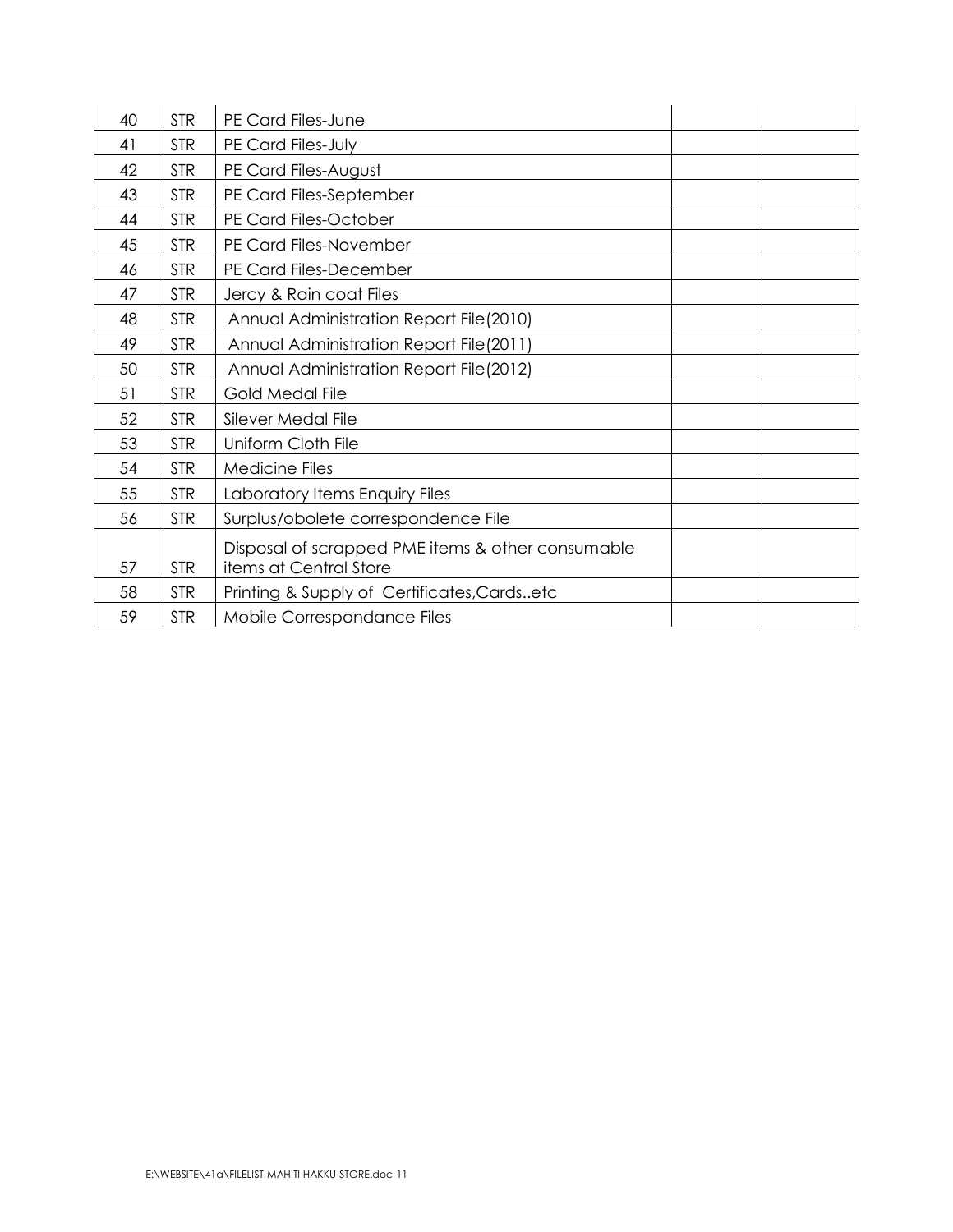| 40 | <b>STR</b> | PE Card Files-June                                |  |  |  |
|----|------------|---------------------------------------------------|--|--|--|
| 41 | <b>STR</b> | PE Card Files-July                                |  |  |  |
| 42 | <b>STR</b> | PE Card Files-August                              |  |  |  |
| 43 | <b>STR</b> | PE Card Files-September                           |  |  |  |
| 44 | <b>STR</b> | PE Card Files-October                             |  |  |  |
| 45 | <b>STR</b> | PE Card Files-November                            |  |  |  |
| 46 | <b>STR</b> | PE Card Files-December                            |  |  |  |
| 47 | <b>STR</b> | Jercy & Rain coat Files                           |  |  |  |
| 48 | <b>STR</b> | Annual Administration Report File(2010)           |  |  |  |
| 49 | <b>STR</b> | Annual Administration Report File(2011)           |  |  |  |
| 50 | <b>STR</b> | Annual Administration Report File (2012)          |  |  |  |
| 51 | <b>STR</b> | Gold Medal File                                   |  |  |  |
| 52 | <b>STR</b> | Silever Medal File                                |  |  |  |
| 53 | <b>STR</b> | Uniform Cloth File                                |  |  |  |
| 54 | <b>STR</b> | Medicine Files                                    |  |  |  |
| 55 | <b>STR</b> | Laboratory Items Enquiry Files                    |  |  |  |
| 56 | <b>STR</b> | Surplus/obolete correspondence File               |  |  |  |
|    |            | Disposal of scrapped PME items & other consumable |  |  |  |
| 57 | <b>STR</b> | items at Central Store                            |  |  |  |
| 58 | <b>STR</b> | Printing & Supply of Certificates, Cardsetc       |  |  |  |
| 59 | <b>STR</b> | Mobile Correspondance Files                       |  |  |  |